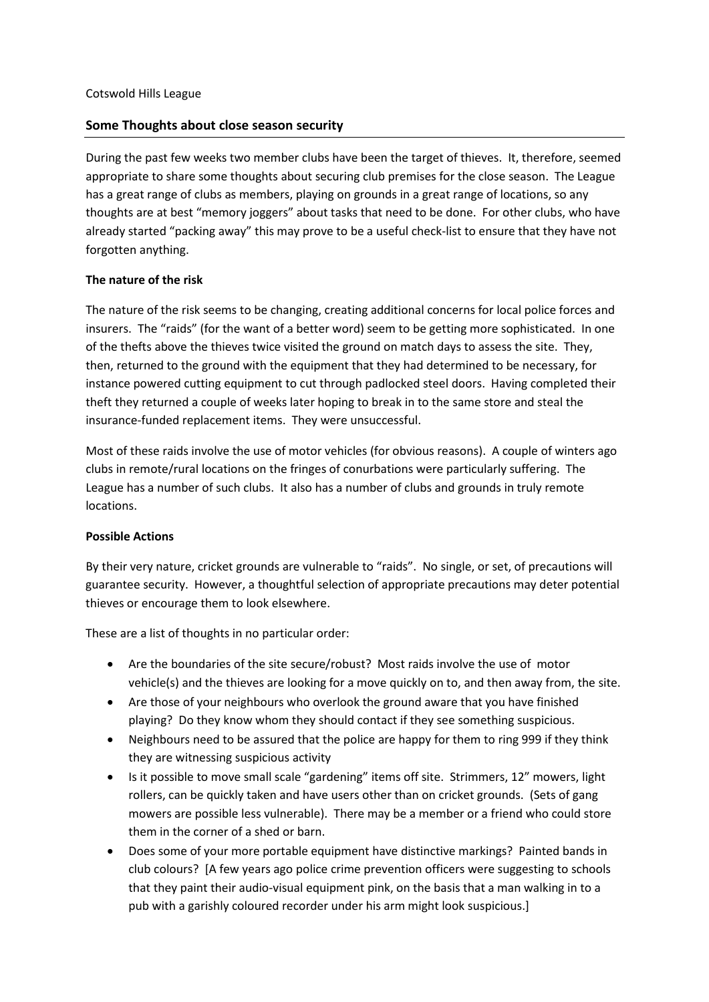## **Some Thoughts about close season security**

During the past few weeks two member clubs have been the target of thieves. It, therefore, seemed appropriate to share some thoughts about securing club premises for the close season. The League has a great range of clubs as members, playing on grounds in a great range of locations, so any thoughts are at best "memory joggers" about tasks that need to be done. For other clubs, who have already started "packing away" this may prove to be a useful check-list to ensure that they have not forgotten anything.

## **The nature of the risk**

The nature of the risk seems to be changing, creating additional concerns for local police forces and insurers. The "raids" (for the want of a better word) seem to be getting more sophisticated. In one of the thefts above the thieves twice visited the ground on match days to assess the site. They, then, returned to the ground with the equipment that they had determined to be necessary, for instance powered cutting equipment to cut through padlocked steel doors. Having completed their theft they returned a couple of weeks later hoping to break in to the same store and steal the insurance-funded replacement items. They were unsuccessful.

Most of these raids involve the use of motor vehicles (for obvious reasons). A couple of winters ago clubs in remote/rural locations on the fringes of conurbations were particularly suffering. The League has a number of such clubs. It also has a number of clubs and grounds in truly remote locations.

## **Possible Actions**

By their very nature, cricket grounds are vulnerable to "raids". No single, or set, of precautions will guarantee security. However, a thoughtful selection of appropriate precautions may deter potential thieves or encourage them to look elsewhere.

These are a list of thoughts in no particular order:

- Are the boundaries of the site secure/robust? Most raids involve the use of motor vehicle(s) and the thieves are looking for a move quickly on to, and then away from, the site.
- Are those of your neighbours who overlook the ground aware that you have finished playing? Do they know whom they should contact if they see something suspicious.
- Neighbours need to be assured that the police are happy for them to ring 999 if they think they are witnessing suspicious activity
- Is it possible to move small scale "gardening" items off site. Strimmers, 12" mowers, light rollers, can be quickly taken and have users other than on cricket grounds. (Sets of gang mowers are possible less vulnerable). There may be a member or a friend who could store them in the corner of a shed or barn.
- Does some of your more portable equipment have distinctive markings? Painted bands in club colours? [A few years ago police crime prevention officers were suggesting to schools that they paint their audio-visual equipment pink, on the basis that a man walking in to a pub with a garishly coloured recorder under his arm might look suspicious.]